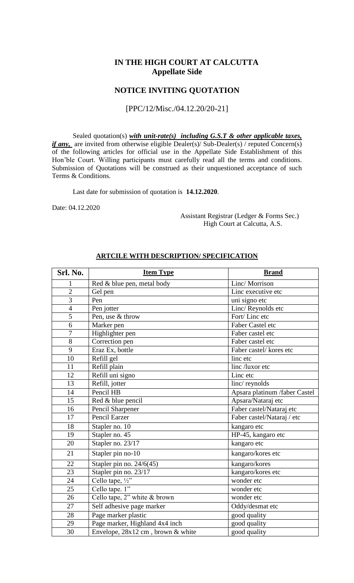## **IN THE HIGH COURT AT CALCUTTA Appellate Side**

## **NOTICE INVITING QUOTATION**

[PPC/12/Misc./04.12.20/20-21]

Sealed quotation(s) *with unit-rate(s) including G.S.T & other applicable taxes, if any*, are invited from otherwise eligible Dealer(s)/ Sub-Dealer(s) / reputed Concern(s) of the following articles for official use in the Appellate Side Establishment of this Hon'ble Court. Willing participants must carefully read all the terms and conditions. Submission of Quotations will be construed as their unquestioned acceptance of such Terms & Conditions.

Last date for submission of quotation is **14.12.2020**.

Date: 04.12.2020

 Assistant Registrar (Ledger & Forms Sec.) High Court at Calcutta, A.S.

| Srl. No.        | <b>Item Type</b>                  | <b>Brand</b>                  |  |
|-----------------|-----------------------------------|-------------------------------|--|
| 1               | Red & blue pen, metal body        | Linc/Morrison                 |  |
| $\overline{2}$  | Gel pen                           | Linc executive etc            |  |
| $\overline{3}$  | Pen                               | uni signo etc                 |  |
| $\overline{4}$  | Pen jotter                        | Linc/Reynolds etc             |  |
| 5               | Pen, use & throw                  | Fort/Linc etc                 |  |
| 6               | Marker pen                        | Faber Castel etc              |  |
| $\overline{7}$  | Highlighter pen                   | Faber castel etc              |  |
| 8               | Correction pen                    | Faber castel etc              |  |
| 9               | Eraz Ex, bottle                   | Faber castel/kores etc        |  |
| 10              | Refill gel                        | linc etc                      |  |
| 11              | Refill plain                      | linc /luxor etc               |  |
| 12              | Refill uni signo                  | Linc etc                      |  |
| 13              | Refill, jotter                    | linc/reynolds                 |  |
| 14              | Pencil HB                         | Apsara platinum /faber Castel |  |
| 15              | Red & blue pencil                 | Apsara/Nataraj etc            |  |
| 16              | Pencil Sharpener                  | Faber castel/Nataraj etc      |  |
| 17              | Pencil Earzer                     | Faber castel/Nataraj / etc    |  |
| 18              | Stapler no. 10                    | kangaro etc                   |  |
| 19              | Stapler no. 45                    | HP-45, kangaro etc            |  |
| 20              | Stapler no. 23/17                 | kangaro etc                   |  |
| 21              | Stapler pin no-10                 | kangaro/kores etc             |  |
| 22              | Stapler pin no. $24/6(45)$        | kangaro/kores                 |  |
| 23              | Stapler pin no. 23/17             | kangaro/kores etc             |  |
| 24              | Cello tape, $\frac{1}{2}$ "       | wonder etc                    |  |
| 25              | Cello tape. 1"                    | wonder etc                    |  |
| 26              | Cello tape, 2" white & brown      | wonder etc                    |  |
| 27              | Self adhesive page marker         | Oddy/desmat etc               |  |
| 28              | Page marker plastic               | good quality                  |  |
| 29              | Page marker, Highland 4x4 inch    | good quality                  |  |
| $\overline{30}$ | Envelope, 28x12 cm, brown & white | good quality                  |  |

#### **ARTCILE WITH DESCRIPTION/ SPECIFICATION**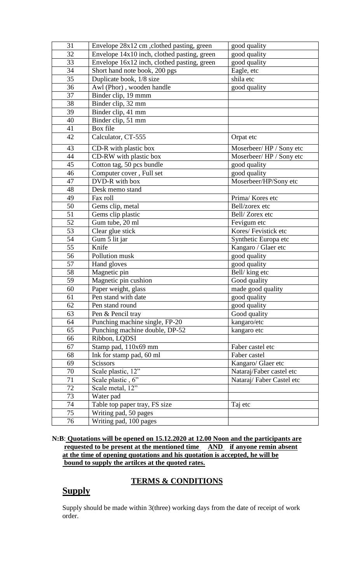| 31 | Envelope 28x12 cm, clothed pasting, green      | good quality             |  |
|----|------------------------------------------------|--------------------------|--|
| 32 | Envelope 14x10 inch, clothed pasting, green    | good quality             |  |
| 33 | Envelope 16x12 inch, clothed pasting, green    | good quality             |  |
| 34 | Short hand note book, 200 pgs                  | Eagle, etc               |  |
| 35 | Duplicate book, 1/8 size                       | shila etc                |  |
| 36 | Awl (Phor), wooden handle                      | good quality             |  |
| 37 | Binder clip, 19 mmm                            |                          |  |
| 38 | Binder clip, 32 mm                             |                          |  |
| 39 | Binder clip, 41 mm                             |                          |  |
| 40 | Binder clip, 51 mm                             |                          |  |
| 41 | Box file                                       |                          |  |
| 42 | Calculator, CT-555                             | Orpat etc                |  |
| 43 | CD-R with plastic box                          | Moserbeer/HP / Sony etc  |  |
| 44 | CD-RW with plastic box                         | Moserbeer/HP / Sony etc  |  |
| 45 | Cotton tag, 50 pcs bundle                      | good quality             |  |
| 46 | Computer cover, Full set                       | good quality             |  |
| 47 | DVD-R with box                                 | Moserbeer/HP/Sony etc    |  |
| 48 | Desk memo stand                                |                          |  |
| 49 | Fax roll                                       | Prima/Kores etc          |  |
| 50 | Gems clip, metal                               | Bell/zorex etc           |  |
| 51 | Gems clip plastic                              | Bell/Zorex etc           |  |
| 52 | Gum tube, 20 ml                                | Fevigum etc              |  |
| 53 | Clear glue stick                               | Kores/Fevistick etc      |  |
| 54 | Gum 5 lit jar                                  | Synthetic Europa etc     |  |
| 55 | Knife                                          | Kangaro / Glaer etc      |  |
| 56 | Pollution musk                                 | good quality             |  |
| 57 | Hand gloves                                    | good quality             |  |
| 58 | Magnetic pin                                   | Bell/king etc            |  |
| 59 | Magnetic pin cushion                           | Good quality             |  |
| 60 | Paper weight, glass                            | made good quality        |  |
| 61 | Pen stand with date                            | good quality             |  |
| 62 | Pen stand round                                | good quality             |  |
| 63 | Pen & Pencil tray                              | Good quality             |  |
| 64 | Punching machine single, FP-20                 | kangaro/etc              |  |
| 65 | Punching machine double, DP-52                 | kangaro etc              |  |
| 66 | Ribbon, LQDSI                                  |                          |  |
| 67 | Stamp pad, 110x69 mm<br>Faber castel etc       |                          |  |
| 68 | Ink for stamp pad, 60 ml<br>Faber castel       |                          |  |
| 69 | Kangaro/ Glaer etc<br>Scissors                 |                          |  |
| 70 | Scale plastic, 12"<br>Nataraj/Faber castel etc |                          |  |
| 71 | Scale plastic, 6"                              | Nataraj/Faber Castel etc |  |
| 72 | Scale metal, 12"                               |                          |  |
| 73 | Water pad                                      |                          |  |
| 74 | Table top paper tray, FS size<br>Taj etc       |                          |  |
| 75 | Writing pad, 50 pages                          |                          |  |
| 76 | Writing pad, 100 pages                         |                          |  |

**N:B**: **Quotations will be opened on 15.12.2020 at 12.00 Noon and the participants are requested to be present at the mentioned time AND if anyone remin absent at the time of opening quotations and his quotation is accepted, he will be bound to supply the artilces at the quoted rates.**

## **TERMS & CONDITIONS**

# **Supply**

Supply should be made within 3(three) working days from the date of receipt of work order.